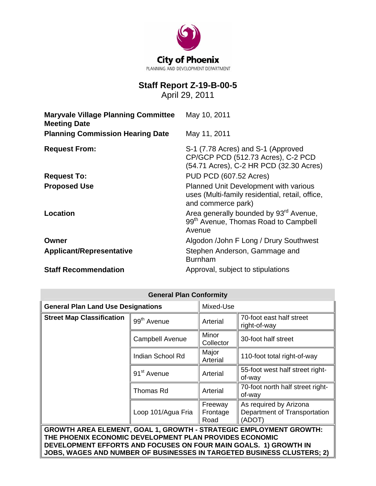

# **Staff Report Z-19-B-00-5**

April 29, 2011

| <b>Maryvale Village Planning Committee</b><br><b>Meeting Date</b> | May 10, 2011                                                                                                        |
|-------------------------------------------------------------------|---------------------------------------------------------------------------------------------------------------------|
| <b>Planning Commission Hearing Date</b>                           | May 11, 2011                                                                                                        |
| <b>Request From:</b>                                              | S-1 (7.78 Acres) and S-1 (Approved<br>CP/GCP PCD (512.73 Acres), C-2 PCD<br>(54.71 Acres), C-2 HR PCD (32.30 Acres) |
| <b>Request To:</b>                                                | <b>PUD PCD (607.52 Acres)</b>                                                                                       |
| <b>Proposed Use</b>                                               | Planned Unit Development with various<br>uses (Multi-family residential, retail, office,<br>and commerce park)      |
| Location                                                          | Area generally bounded by 93 <sup>rd</sup> Avenue,<br>99 <sup>th</sup> Avenue, Thomas Road to Campbell<br>Avenue    |
| Owner                                                             | Algodon /John F Long / Drury Southwest                                                                              |
| <b>Applicant/Representative</b>                                   | Stephen Anderson, Gammage and<br><b>Burnham</b>                                                                     |
| <b>Staff Recommendation</b>                                       | Approval, subject to stipulations                                                                                   |

| <b>General Plan Conformity</b>                                                                                                                                                                                                                                                     |                         |                             |                                                                  |  |
|------------------------------------------------------------------------------------------------------------------------------------------------------------------------------------------------------------------------------------------------------------------------------------|-------------------------|-----------------------------|------------------------------------------------------------------|--|
| <b>General Plan Land Use Designations</b>                                                                                                                                                                                                                                          |                         | Mixed-Use                   |                                                                  |  |
| <b>Street Map Classification</b>                                                                                                                                                                                                                                                   | 99 <sup>th</sup> Avenue | Arterial                    | 70-foot east half street<br>right-of-way                         |  |
|                                                                                                                                                                                                                                                                                    | <b>Campbell Avenue</b>  | Minor<br>Collector          | 30-foot half street                                              |  |
|                                                                                                                                                                                                                                                                                    | Indian School Rd        | Major<br>Arterial           | 110-foot total right-of-way                                      |  |
|                                                                                                                                                                                                                                                                                    | 91 <sup>st</sup> Avenue | Arterial                    | 55-foot west half street right-<br>of-way                        |  |
|                                                                                                                                                                                                                                                                                    | Thomas Rd               | Arterial                    | 70-foot north half street right-<br>of-way                       |  |
|                                                                                                                                                                                                                                                                                    | Loop 101/Agua Fria      | Freeway<br>Frontage<br>Road | As required by Arizona<br>Department of Transportation<br>(ADOT) |  |
| <b>GROWTH AREA ELEMENT, GOAL 1, GROWTH - STRATEGIC EMPLOYMENT GROWTH:</b><br>THE PHOENIX ECONOMIC DEVELOPMENT PLAN PROVIDES ECONOMIC<br>DEVELOPMENT EFFORTS AND FOCUSES ON FOUR MAIN GOALS. 1) GROWTH IN<br>JOBS, WAGES AND NUMBER OF BUSINESSES IN TARGETED BUSINESS CLUSTERS; 2) |                         |                             |                                                                  |  |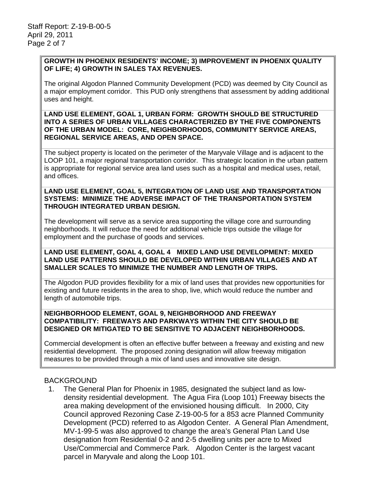#### **GROWTH IN PHOENIX RESIDENTS' INCOME; 3) IMPROVEMENT IN PHOENIX QUALITY OF LIFE; 4) GROWTH IN SALES TAX REVENUES.**

The original Algodon Planned Community Development (PCD) was deemed by City Council as a major employment corridor. This PUD only strengthens that assessment by adding additional uses and height.

#### **LAND USE ELEMENT, GOAL 1, URBAN FORM: GROWTH SHOULD BE STRUCTURED INTO A SERIES OF URBAN VILLAGES CHARACTERIZED BY THE FIVE COMPONENTS OF THE URBAN MODEL: CORE, NEIGHBORHOODS, COMMUNITY SERVICE AREAS, REGIONAL SERVICE AREAS, AND OPEN SPACE.**

The subject property is located on the perimeter of the Maryvale Village and is adjacent to the LOOP 101, a major regional transportation corridor. This strategic location in the urban pattern is appropriate for regional service area land uses such as a hospital and medical uses, retail, and offices.

#### **LAND USE ELEMENT, GOAL 5, INTEGRATION OF LAND USE AND TRANSPORTATION SYSTEMS: MINIMIZE THE ADVERSE IMPACT OF THE TRANSPORTATION SYSTEM THROUGH INTEGRATED URBAN DESIGN.**

The development will serve as a service area supporting the village core and surrounding neighborhoods. It will reduce the need for additional vehicle trips outside the village for employment and the purchase of goods and services.

#### **LAND USE ELEMENT, GOAL 4, GOAL 4 MIXED LAND USE DEVELOPMENT: MIXED LAND USE PATTERNS SHOULD BE DEVELOPED WITHIN URBAN VILLAGES AND AT SMALLER SCALES TO MINIMIZE THE NUMBER AND LENGTH OF TRIPS.**

The Algodon PUD provides flexibility for a mix of land uses that provides new opportunities for existing and future residents in the area to shop, live, which would reduce the number and length of automobile trips.

#### **NEIGHBORHOOD ELEMENT, GOAL 9, NEIGHBORHOOD AND FREEWAY COMPATIBILITY: FREEWAYS AND PARKWAYS WITHIN THE CITY SHOULD BE DESIGNED OR MITIGATED TO BE SENSITIVE TO ADJACENT NEIGHBORHOODS.**

Commercial development is often an effective buffer between a freeway and existing and new residential development. The proposed zoning designation will allow freeway mitigation measures to be provided through a mix of land uses and innovative site design.

### BACKGROUND

 1. The General Plan for Phoenix in 1985, designated the subject land as lowdensity residential development. The Agua Fira (Loop 101) Freeway bisects the area making development of the envisioned housing difficult. In 2000, City Council approved Rezoning Case Z-19-00-5 for a 853 acre Planned Community Development (PCD) referred to as Algodon Center. A General Plan Amendment, MV-1-99-5 was also approved to change the area's General Plan Land Use designation from Residential 0-2 and 2-5 dwelling units per acre to Mixed Use/Commercial and Commerce Park. Algodon Center is the largest vacant parcel in Maryvale and along the Loop 101.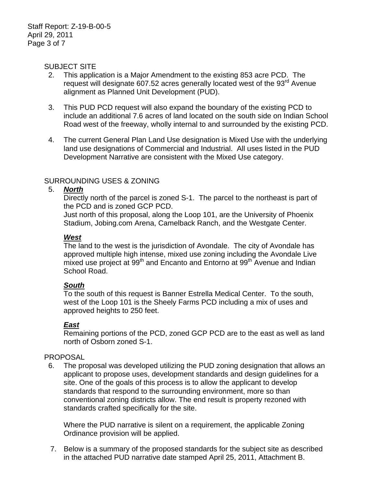#### SUBJECT SITE

- 2. This application is a Major Amendment to the existing 853 acre PCD. The request will designate 607.52 acres generally located west of the  $93<sup>rd</sup>$  Avenue alignment as Planned Unit Development (PUD).
- 3. This PUD PCD request will also expand the boundary of the existing PCD to include an additional 7.6 acres of land located on the south side on Indian School Road west of the freeway, wholly internal to and surrounded by the existing PCD.
- 4. The current General Plan Land Use designation is Mixed Use with the underlying land use designations of Commercial and Industrial. All uses listed in the PUD Development Narrative are consistent with the Mixed Use category.

### SURROUNDING USES & ZONING

#### 5. *North*

Directly north of the parcel is zoned S-1. The parcel to the northeast is part of the PCD and is zoned GCP PCD.

Just north of this proposal, along the Loop 101, are the University of Phoenix Stadium, Jobing.com Arena, Camelback Ranch, and the Westgate Center.

### *West*

The land to the west is the jurisdiction of Avondale. The city of Avondale has approved multiple high intense, mixed use zoning including the Avondale Live mixed use project at 99<sup>th</sup> and Encanto and Entorno at 99<sup>th</sup> Avenue and Indian School Road.

### *South*

To the south of this request is Banner Estrella Medical Center. To the south, west of the Loop 101 is the Sheely Farms PCD including a mix of uses and approved heights to 250 feet.

### *East*

Remaining portions of the PCD, zoned GCP PCD are to the east as well as land north of Osborn zoned S-1.

#### PROPOSAL

 6. The proposal was developed utilizing the PUD zoning designation that allows an applicant to propose uses, development standards and design guidelines for a site. One of the goals of this process is to allow the applicant to develop standards that respond to the surrounding environment, more so than conventional zoning districts allow. The end result is property rezoned with standards crafted specifically for the site.

Where the PUD narrative is silent on a requirement, the applicable Zoning Ordinance provision will be applied.

 7. Below is a summary of the proposed standards for the subject site as described in the attached PUD narrative date stamped April 25, 2011, Attachment B.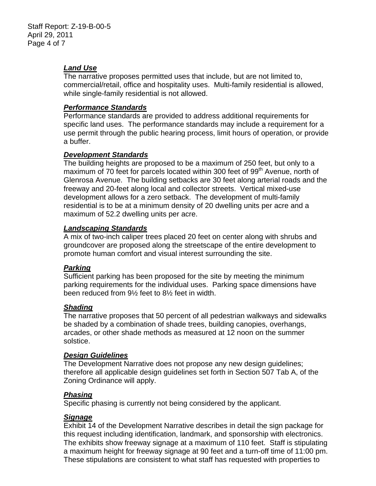### *Land Use*

The narrative proposes permitted uses that include, but are not limited to, commercial/retail, office and hospitality uses. Multi-family residential is allowed, while single-family residential is not allowed.

### *Performance Standards*

Performance standards are provided to address additional requirements for specific land uses. The performance standards may include a requirement for a use permit through the public hearing process, limit hours of operation, or provide a buffer.

### *Development Standards*

The building heights are proposed to be a maximum of 250 feet, but only to a maximum of 70 feet for parcels located within 300 feet of 99<sup>th</sup> Avenue, north of Glenrosa Avenue. The building setbacks are 30 feet along arterial roads and the freeway and 20-feet along local and collector streets. Vertical mixed-use development allows for a zero setback. The development of multi-family residential is to be at a minimum density of 20 dwelling units per acre and a maximum of 52.2 dwelling units per acre.

### *Landscaping Standards*

A mix of two-inch caliper trees placed 20 feet on center along with shrubs and groundcover are proposed along the streetscape of the entire development to promote human comfort and visual interest surrounding the site.

### *Parking*

Sufficient parking has been proposed for the site by meeting the minimum parking requirements for the individual uses. Parking space dimensions have been reduced from 9½ feet to 8½ feet in width.

### *Shading*

The narrative proposes that 50 percent of all pedestrian walkways and sidewalks be shaded by a combination of shade trees, building canopies, overhangs, arcades, or other shade methods as measured at 12 noon on the summer solstice.

### *Design Guidelines*

The Development Narrative does not propose any new design guidelines; therefore all applicable design guidelines set forth in Section 507 Tab A, of the Zoning Ordinance will apply.

### *Phasing*

Specific phasing is currently not being considered by the applicant.

### *Signage*

Exhibit 14 of the Development Narrative describes in detail the sign package for this request including identification, landmark, and sponsorship with electronics. The exhibits show freeway signage at a maximum of 110 feet. Staff is stipulating a maximum height for freeway signage at 90 feet and a turn-off time of 11:00 pm. These stipulations are consistent to what staff has requested with properties to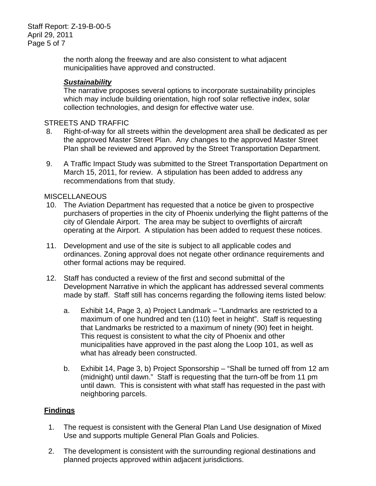Staff Report: Z-19-B-00-5 April 29, 2011 Page 5 of 7

> the north along the freeway and are also consistent to what adjacent municipalities have approved and constructed.

### *Sustainability*

The narrative proposes several options to incorporate sustainability principles which may include building orientation, high roof solar reflective index, solar collection technologies, and design for effective water use.

#### STREETS AND TRAFFIC

- 8. Right-of-way for all streets within the development area shall be dedicated as per the approved Master Street Plan. Any changes to the approved Master Street Plan shall be reviewed and approved by the Street Transportation Department.
- 9. A Traffic Impact Study was submitted to the Street Transportation Department on March 15, 2011, for review. A stipulation has been added to address any recommendations from that study.

#### **MISCELLANEOUS**

- 10. The Aviation Department has requested that a notice be given to prospective purchasers of properties in the city of Phoenix underlying the flight patterns of the city of Glendale Airport. The area may be subject to overflights of aircraft operating at the Airport. A stipulation has been added to request these notices.
- 11. Development and use of the site is subject to all applicable codes and ordinances. Zoning approval does not negate other ordinance requirements and other formal actions may be required.
- 12. Staff has conducted a review of the first and second submittal of the Development Narrative in which the applicant has addressed several comments made by staff. Staff still has concerns regarding the following items listed below:
	- a. Exhibit 14, Page 3, a) Project Landmark "Landmarks are restricted to a maximum of one hundred and ten (110) feet in height". Staff is requesting that Landmarks be restricted to a maximum of ninety (90) feet in height. This request is consistent to what the city of Phoenix and other municipalities have approved in the past along the Loop 101, as well as what has already been constructed.
	- b. Exhibit 14, Page 3, b) Project Sponsorship "Shall be turned off from 12 am (midnight) until dawn." Staff is requesting that the turn-off be from 11 pm until dawn. This is consistent with what staff has requested in the past with neighboring parcels.

### **Findings**

- 1. The request is consistent with the General Plan Land Use designation of Mixed Use and supports multiple General Plan Goals and Policies.
- 2. The development is consistent with the surrounding regional destinations and planned projects approved within adjacent jurisdictions.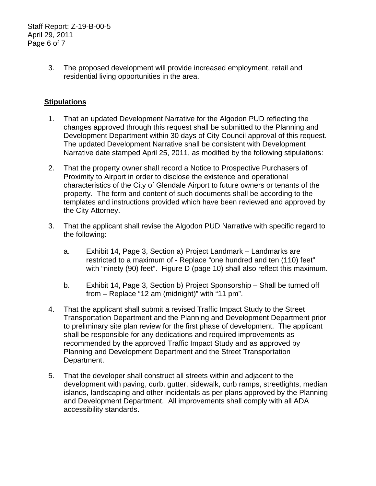Staff Report: Z-19-B-00-5 April 29, 2011 Page 6 of 7

> 3. The proposed development will provide increased employment, retail and residential living opportunities in the area.

### **Stipulations**

- 1. That an updated Development Narrative for the Algodon PUD reflecting the changes approved through this request shall be submitted to the Planning and Development Department within 30 days of City Council approval of this request. The updated Development Narrative shall be consistent with Development Narrative date stamped April 25, 2011, as modified by the following stipulations:
- 2. That the property owner shall record a Notice to Prospective Purchasers of Proximity to Airport in order to disclose the existence and operational characteristics of the City of Glendale Airport to future owners or tenants of the property. The form and content of such documents shall be according to the templates and instructions provided which have been reviewed and approved by the City Attorney.
- 3. That the applicant shall revise the Algodon PUD Narrative with specific regard to the following:
	- a. Exhibit 14, Page 3, Section a) Project Landmark Landmarks are restricted to a maximum of - Replace "one hundred and ten (110) feet" with "ninety (90) feet". Figure D (page 10) shall also reflect this maximum.
	- b. Exhibit 14, Page 3, Section b) Project Sponsorship Shall be turned off from – Replace "12 am (midnight)" with "11 pm".
- 4. That the applicant shall submit a revised Traffic Impact Study to the Street Transportation Department and the Planning and Development Department prior to preliminary site plan review for the first phase of development. The applicant shall be responsible for any dedications and required improvements as recommended by the approved Traffic Impact Study and as approved by Planning and Development Department and the Street Transportation Department.
- 5. That the developer shall construct all streets within and adjacent to the development with paving, curb, gutter, sidewalk, curb ramps, streetlights, median islands, landscaping and other incidentals as per plans approved by the Planning and Development Department. All improvements shall comply with all ADA accessibility standards.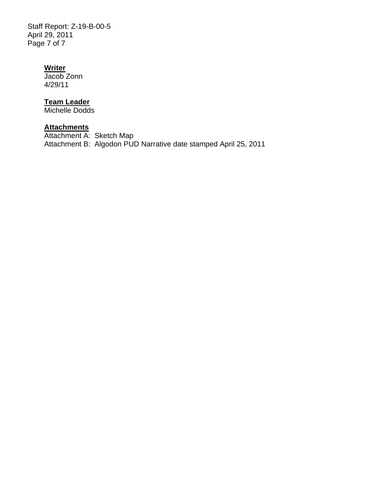Staff Report: Z-19-B-00-5 April 29, 2011 Page 7 of 7

### **Writer**

Jacob Zonn 4/29/11

### **Team Leader**

Michelle Dodds

## **Attachments**

Attachment A: Sketch Map Attachment B: Algodon PUD Narrative date stamped April 25, 2011